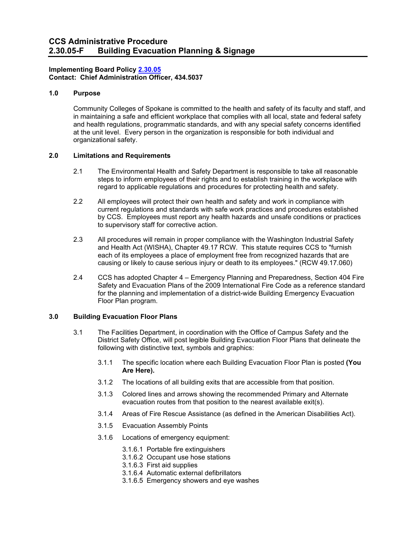# **Implementing Board Policy [2.30.05](http://ccs.spokane.edu/getdoc/07dbc13d-9349-4955-a2ca-cb6600455cd2/2-30-05.aspx) Contact: Chief Administration Officer, 434.5037**

# **1.0 Purpose**

Community Colleges of Spokane is committed to the health and safety of its faculty and staff, and in maintaining a safe and efficient workplace that complies with all local, state and federal safety and health regulations, programmatic standards, and with any special safety concerns identified at the unit level. Every person in the organization is responsible for both individual and organizational safety.

# **2.0 Limitations and Requirements**

- 2.1 The Environmental Health and Safety Department is responsible to take all reasonable steps to inform employees of their rights and to establish training in the workplace with regard to applicable regulations and procedures for protecting health and safety.
- 2.2 All employees will protect their own health and safety and work in compliance with current regulations and standards with safe work practices and procedures established by CCS. Employees must report any health hazards and unsafe conditions or practices to supervisory staff for corrective action.
- 2.3 All procedures will remain in proper compliance with the Washington Industrial Safety and Health Act (WISHA), Chapter 49.17 RCW. This statute requires CCS to "furnish each of its employees a place of employment free from recognized hazards that are causing or likely to cause serious injury or death to its employees." (RCW 49.17.060)
- 2.4 CCS has adopted Chapter 4 Emergency Planning and Preparedness, Section 404 Fire Safety and Evacuation Plans of the 2009 International Fire Code as a reference standard for the planning and implementation of a district-wide Building Emergency Evacuation Floor Plan program.

## **3.0 Building Evacuation Floor Plans**

- 3.1 The Facilities Department, in coordination with the Office of Campus Safety and the District Safety Office, will post legible Building Evacuation Floor Plans that delineate the following with distinctive text, symbols and graphics:
	- 3.1.1 The specific location where each Building Evacuation Floor Plan is posted **(You Are Here).**
	- 3.1.2 The locations of all building exits that are accessible from that position.
	- 3.1.3 Colored lines and arrows showing the recommended Primary and Alternate evacuation routes from that position to the nearest available exit(s).
	- 3.1.4 Areas of Fire Rescue Assistance (as defined in the American Disabilities Act).
	- 3.1.5 Evacuation Assembly Points
	- 3.1.6 Locations of emergency equipment:
		- 3.1.6.1 Portable fire extinguishers
		- 3.1.6.2 Occupant use hose stations
		- 3.1.6.3 First aid supplies
		- 3.1.6.4 Automatic external defibrillators
		- 3.1.6.5 Emergency showers and eye washes